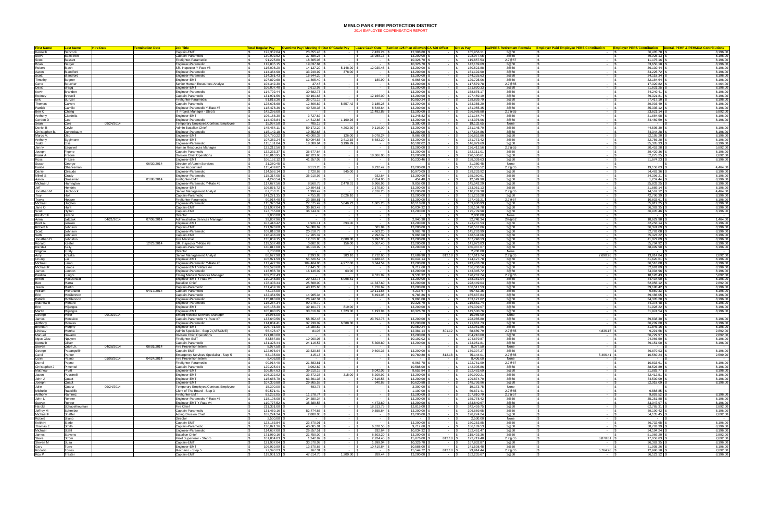## **MENLO PARK FIRE PROTECTION DISTRICT**

2014 EMPLOYEE COMPENSATION REPORT

| <b>First Name</b>                                                                     | <b>Last Name</b>     | <b>Hire Date</b> | Termination Date | lob Title                                        |                             |                                   |                                                                |                             | <u>Fotal Regular Pay   Overtime Pay / Meeting St Out Of Grade Pay   Leave Cash Outs  Section 125 Plan AllowandCA SDI Offset   Gross Pay </u> |                                  |                          |                | CalPERS Retirement Formula Employer Paid Employee PERS Contribution Employer PERS Contribution Dental, PEHP & PEHMCA Contributions |                                   |                      |
|---------------------------------------------------------------------------------------|----------------------|------------------|------------------|--------------------------------------------------|-----------------------------|-----------------------------------|----------------------------------------------------------------|-----------------------------|----------------------------------------------------------------------------------------------------------------------------------------------|----------------------------------|--------------------------|----------------|------------------------------------------------------------------------------------------------------------------------------------|-----------------------------------|----------------------|
| Kenneth                                                                               | Babcock              |                  |                  | Captain-EMT                                      | 122,352.64                  | 23,855.43                         |                                                                | 7,439.24 \$                 | 12,308.80 \$                                                                                                                                 | $-18$                            | 165,956.11               | 3@50           |                                                                                                                                    | 36.485.78 \$                      | 8,196.00             |
| Steve                                                                                 | <b>Balestrieri</b>   |                  |                  | Captain-Paramedic                                | 130.902.62                  | 37,886,27                         |                                                                | 16,988.16                   | 13,200.00                                                                                                                                    | $\sim$ $\sim$ $\sim$             | 198,977.0                | 3@50           | $\sim$                                                                                                                             | 39.025.13                         | 8.196.00             |
| Scott                                                                                 | Bassett              |                  |                  | Firefighter-Paramedic                            | $91,225.80$ :               | 18,305.03                         |                                                                |                             | 0.326.70                                                                                                                                     | $\sim 100$                       | 119,857.5                | 2.7@57         | $\sim$                                                                                                                             | 11.175.16                         | 8,196.00             |
| Brian<br>Brian<br>Robert                                                              | Berger               |                  |                  | Engineer-Paramedic                               | 112,805.15                  | 19,037.84                         | <b>Contract</b>                                                | $\sim$                      | 10,326.70                                                                                                                                    | $\sim$ $-$                       | 142,169.6                | 3@50           | $\sim$                                                                                                                             | 33,650.18                         | 8,196.00             |
|                                                                                       | Blach                |                  |                  | SR. Inspector Y-Rate #8                          | 116,008.20                  | 14,137.20                         | $5,148.00$ :                                                   | 12,030.48 \$                | 13,200.00                                                                                                                                    | $\sim$ $-$                       | 160,523.8                | 3@50           | $\sim$ $-$                                                                                                                         | 36,130.44                         | 8,196.00             |
| Aaron                                                                                 | Blandford            |                  |                  | Engineer-Paramedic                               | 114,364.98                  | 33,249.92                         | 378.00                                                         | - 19                        | 13,200.00                                                                                                                                    | $\sim$ $-$                       | 161,192.9                | 3@50           | $\sim$                                                                                                                             | 34,225.72                         | 8,196.00             |
| Scott                                                                                 | Blandford            |                  |                  | Engineer-Paramedic                               | 114,381.43                  | 16,644.20                         |                                                                | $-15$                       | 13,200.00                                                                                                                                    | $\sim 100$                       | 144,225.6                | 3@50           | $\sim$                                                                                                                             | 34,118.34                         | 8,196.00             |
|                                                                                       | Bogner<br>Boucher    |                  |                  | Ingineer-EMT<br>Senior Human Resources Analyst   | 107.870.68<br>104.342.30 \$ | 11.805.40<br>37.48                | $-19$                                                          | 180.90 \$<br>$ \sim$ $\sim$ | 9.868.08<br>13,200.00                                                                                                                        | $\sim$ 1                         | 129.725.0<br>117.579.7   | 3@50<br>2.7@55 | $\sim$<br>$\sim$ $-$                                                                                                               | 32.184.64<br>17.320.82            | 8.196.00<br>4.464.00 |
|                                                                                       |                      |                  |                  | Enaineer-EMT                                     | 106,007.40                  | 2.612.93                          |                                                                | $\sim$ 10 $\pm$             | 13,200.00<br>$\sim$                                                                                                                          | $\sim 10^{-11}$                  | 121.820.33               | 3@50           | $\sim$                                                                                                                             | 31.631.25                         | 8,196.00             |
| Timothy<br>Gene<br>David<br>Kevin<br>Rodney<br>Erik<br>Thomas                         | Bragg<br>Brandon     |                  |                  | Ingineer-Paramedio                               | 114,792.44                  | 30,682.73                         |                                                                | $-1S$                       | 13,200.00                                                                                                                                    |                                  | 158,675.17               | 3@50           | $\sim$                                                                                                                             | 34,240.41                         | 8,196.00             |
|                                                                                       | Brovelli             |                  |                  | Captain-Paramedic                                | 131,901.56                  | 40,191.63                         |                                                                | 12,166.00 \$                | 13,200.00                                                                                                                                    |                                  | 197,459.19               | 3@50           |                                                                                                                                    | 39,321.81                         | 8,196.00             |
|                                                                                       | Bunzel               |                  |                  | Firefighter-Paramedic                            | 91,818.36                   | 36,071.19                         |                                                                |                             | 10,950.24                                                                                                                                    | $\sim$                           | 138,839.7                | 3@50           | $\sim$                                                                                                                             | 27,417.10                         | 8,196.00             |
|                                                                                       | Calvert              |                  |                  | Captain-Paramedic                                | 128,605.68                  | 12,806.82                         | 5,557.42                                                       | 3,185.28                    | 13,200.00                                                                                                                                    | $\sim$ 100 $\mu$                 | 163,355.20               | 3@50           |                                                                                                                                    | 39,993.49                         | 8,196.00             |
| Patrick                                                                               | Carrillo             |                  |                  | Engineer-Paramedic Y-Rate #5                     | 118.478.36                  | 40.728.35                         | <b>Contract Contract</b>                                       | 8.648.64                    | 13,200.00                                                                                                                                    | $ -$                             | 181.055.35               | 3@50           | $\sim$                                                                                                                             | 35.335.12                         | 8.196.00             |
| Ben K<br>Ben K<br>Anthony                                                             | Cheng                |                  |                  | IT Project Manager - Step 5                      | 142.296.00                  | $\sim$ $\sim$                     | <b>Contract</b>                                                | 11,492.88                   | 13,200.00                                                                                                                                    | $\sim 100$                       | 166.988.88               | 2.7@55         | $\sim$                                                                                                                             | 23.621.14                         | 5.892.00             |
|                                                                                       | Ciardella            |                  |                  | Engineer-EMT                                     | 106,188.30                  | 3,727.62                          |                                                                |                             | 11,248.82                                                                                                                                    |                                  | 121, 164. 7              | 3@50           |                                                                                                                                    | 31.684.98                         | 8,196.00             |
| Gordon D                                                                              | Coe                  |                  |                  | Engineer-Paramedic                               | 114,403.84                  | 14,612.86                         | 1,160.26                                                       | - IS                        | 13,200.00                                                                                                                                    | <b>Contract</b>                  | 143,376.9                | 3@50           | $\sim$ $-$                                                                                                                         | 34,469.59                         | 8,196.00             |
|                                                                                       | Cole                 | 09/24/2014       |                  | Temporary Employee/Contract Employee             | 15,097.50                   | 705.15                            |                                                                |                             | 3,300.00                                                                                                                                     |                                  | 19,102.6                 | None           |                                                                                                                                    |                                   |                      |
| Daniel B                                                                              | Coyle                |                  |                  | Admin Battalion Chief<br>Engineer-Paramedic      | 145,454.11                  | 59,172.29                         | 4,203.30                                                       | $9,116.00$ \$               | 13,200.00                                                                                                                                    | $\sim 100$                       | 231,145.7                | 3@50           |                                                                                                                                    | 44.595.30                         | 8,196.00             |
| Christopher B                                                                         | Dennebaum<br>)it∩    |                  |                  | Engineer-EMT                                     | 115.142.18<br>107.780.22    | 19.352.68<br>43,000.32            | $\sim$ $\sim$<br>126.00                                        |                             | 13,200.00<br>9.868.08                                                                                                                        | - 11<br>$\sim$ 1                 | 147.694.86<br>166,852.86 | 3@50<br>3@50   | $\sim$<br>$\sim$                                                                                                                   | 34.344.28<br>32,195.20            | 8.196.00<br>8,196.00 |
| Marco V.<br>Marco V.<br>Todd                                                          | iggimann             |                  |                  | Engineer-EMT                                     | 107,382.24                  | 50.094.83                         | 2,413.15                                                       | 8,683.20                    | 13,200.00                                                                                                                                    |                                  | 181,773.42               | 3@50           | $\sim$                                                                                                                             | 32,756.28                         | 8,196.00             |
|                                                                                       |                      |                  |                  | Engineer-Paramedic                               | 115,181.04                  | 18,309.64                         | 3,196.99                                                       | $\sim$                      | 10,192.02                                                                                                                                    |                                  | 146,879.69               | 3@50           |                                                                                                                                    | 35,305.33                         | 8,196.00             |
| Jenny                                                                                 | Esquivel             |                  |                  | Human Resources Manage                           | 123,212.56                  |                                   |                                                                |                             | 13,200.00                                                                                                                                    |                                  | 136,412.5                | 2.7@55         |                                                                                                                                    | 20,453.28                         | 5,892.00             |
| Joseph                                                                                | Figone               |                  |                  | Captain-Paramedic                                | 132,233.37                  | 36,677.64                         |                                                                |                             | 13,200.00                                                                                                                                    | $\sim$                           | 182,111.0                | 3@50           |                                                                                                                                    | 39,420.36                         | 8,196.00             |
| Frank A                                                                               | Fraone               |                  |                  | Division Chief Operations                        | 176,010.95                  | 62,923.66                         | <b>Contract</b>                                                | 18,366.00                   | 13,200.00                                                                                                                                    | $\sim$                           | 270.500.6                | 3@50           | $\sim$                                                                                                                             | 52,275.25                         | 2,892.00             |
| Ross                                                                                  | Frazee               |                  |                  | Enaineer-EMT                                     | $106, 152.12$ \$            | 41.957.05                         | .                                                              | $-1S$                       | 10.230.46                                                                                                                                    | $-1$                             | 158.339.63               | 3@50           | $\sim$ $-$                                                                                                                         | 31.674.23                         | 8,196.00             |
| Russ<br>Susan<br>Fariba<br>Daniel<br>Mikell S                                         | George               |                  | 06/30/2014       | Director of Admin Services                       | 31,380.45                   |                                   |                                                                | $\sim 100$                  | $\sim$                                                                                                                                       | $\sim$ $-$                       | 31.380.45                | None           | $\sim$                                                                                                                             | $\sim$                            |                      |
|                                                                                       | Ghahreman            |                  |                  | Senior Accountant                                | 115,409.82                  | 8,513.28                          |                                                                | 8,232.42                    | 13,200.00                                                                                                                                    |                                  | 145,355.5                | 2.7@55         |                                                                                                                                    | 19,158.03                         | 4,464.00             |
|                                                                                       | Giraudo              |                  |                  | Engineer-Paramedic                               | 114,598.14 \$               | 2,720.69                          | 945.00                                                         | - IS                        | 10,970.09                                                                                                                                    | $\sim$ $-$                       | 129,233.9                | 3@50           | $\sim$                                                                                                                             | 34,463.36                         | 8,196.00             |
|                                                                                       | Grady<br>Grossman    |                  | 01/08/2014       | Engineer-Paramedic<br>Firefighter-EMT            | 115,317.05<br>$4.240.54$ :  | 35,910.92<br>$\sim$ $\sim$        |                                                                | 932.64 \$<br>7.854.96       | 13,200.00<br>454.40                                                                                                                          | $\sim$<br><b>Service</b>         | 165,360.6<br>12.549.9    | 3@50<br>3@50   | $\sim$<br>$\sim$                                                                                                                   | 34,396.21<br>$1.259.44$ :         | 8,196.00<br>8.196.00 |
| Aaron<br>Aaron<br>Michael J                                                           | Harrington           |                  |                  | Ingineer-Paramedic Y-Rate #5                     | 117,677.56 \$               | 8.560.76                          | 2.478.01                                                       | 6.966.96                    | 9.859.00                                                                                                                                     | $-1$ \$                          | 145.542.2                | 3@50           | $\sim$ $-$                                                                                                                         | 35.833.25                         | 8.196.00             |
| $rac{1}{\sqrt{2}}$                                                                    | Hendrix              |                  |                  | Engineer-EMT                                     | 106,875.72 \$               | 10.804.61                         | $\sim$ $\sim$ $\sim$ $\sim$                                    | 2.170.80 \$                 | 13,200.00                                                                                                                                    | $-1$ $\sim$                      | 133.051.13               | 3@50           | $\sim$                                                                                                                             | 31.889.14                         | 8,196.00             |
|                                                                                       | Hitchcock            |                  |                  | Senior Management Analyst                        | 87,753.71                   | 1,999.42                          |                                                                | 7,316.25 \$                 | 13,200.00                                                                                                                                    |                                  | 110,269.38               | 2.7@55         |                                                                                                                                    | 14.567.12                         | 4,464.00             |
| Jonathan M<br>Troy                                                                    | Holt                 |                  |                  | Captain-Paramedic                                | 141,271.35                  | 4,755.83                          | 2,026.10                                                       |                             | 13,200.00                                                                                                                                    | $\sim$ 1                         | 161,253.28               | 3@50           | $\sim$                                                                                                                             | 42,706.39                         | 8,196.00             |
| Travis                                                                                | Hooper               |                  |                  | Firefighter-Paramedic                            | 90,914.40                   | 23,288.81                         |                                                                |                             | 13,200.00                                                                                                                                    | $\sim$                           | 127,403.2                | 2.7@57         | $\sim$                                                                                                                             | 10,833.61                         | 8,196.00             |
| Michael<br>Jane O                                                                     | <b>Hughes</b>        |                  |                  | Engineer-Paramedic                               | 115,375.34                  | 27,575.49                         | 5,046.22                                                       | 1,865.28                    | 10,118.60                                                                                                                                    | $\sim$                           | 159,980.93               | 3@50           | $\sim$                                                                                                                             | 35,912.25                         | 8,196.00             |
|                                                                                       | Hunt                 |                  |                  | Captain-EMT                                      | 121.937.04                  | 36.163.42                         | <b>Contract Contract</b>                                       | - 15                        | 10.034.32                                                                                                                                    | $\sim$ 100 $\mu$                 | 168.134.78               | 3@50           | $\sim$                                                                                                                             | 36.362.35                         | 8.196.00             |
| Scott<br>Scott<br>Rexford F<br>Anna                                                   | Hylton               |                  |                  | Captain-EMT                                      | 123,765.68                  | 38,744.30                         | <b>Contract Contract</b>                                       | - IS                        | 13,200.00                                                                                                                                    | $\sim 10^{-11}$                  | 175,709.98               | 3@50           | $\sim$ 100 $\mu$                                                                                                                   | 36,905.46                         | 8,196.00             |
|                                                                                       | lanson               |                  |                  | Director                                         | 2,800.00                    | <b>Contract Contract</b>          | <b>Contract</b>                                                | - IS                        | $\sim$ 100 $\sim$                                                                                                                            | $\sim 10^{-11}$                  | 2,800.00                 | None           | $\sim$                                                                                                                             | $\sim 100$                        |                      |
|                                                                                       | Jatczak              | 04/21/2014       | 07/08/2014       | Administrative Services Manager                  | 29,807.96                   | $\sim 100$                        |                                                                | - S                         | 2,940.38                                                                                                                                     | $\sim$                           | 32,748.34                | 2%@62          |                                                                                                                                    | 18,629.98                         | 1,464.00             |
| Brett A.<br>Brett A.<br>Scott                                                         | Jensen<br>Johnson    |                  |                  | Ingineer-EMT<br>Captain-EMT                      | 107,418.42<br>121,978.60    | 1,926.11<br>54,806.62             | 693.00                                                         | 581.84                      | 13,200.00<br>13,200.00                                                                                                                       | $\sim$                           | 123,237.5<br>190,567.0   | 3@50<br>3@50   |                                                                                                                                    | 32,256.14<br>36,374.69            | 8,196.00<br>8,196.00 |
|                                                                                       | Johnson              |                  |                  | Engineer-Paramedi                                | 109.818.28                  | 20.818.73                         | <b>Contract Contract</b>                                       | 4.663.20                    | 9,963.78                                                                                                                                     | $\sim 100$                       | 145,263.99               | 3@50           | $\sim$ $-$                                                                                                                         | 32,763.08                         | 8,196.00             |
|                                                                                       | .lohnson             |                  |                  | Captain-EMT<br>I S.                              | 118,438,29                  | 17,205,37                         |                                                                | 2.992.32 \$                 | 9.868.08                                                                                                                                     | $-1$ s                           | 148,504.06               | 3@50           | $-18$                                                                                                                              | 35.323.22                         | 8.196.00             |
| Seth<br>Seth<br>Jonathan D                                                            | Johnston             |                  |                  | <b>Fire Marshall</b>                             | 135,859.15                  | 12.611.98                         | 2.080.00                                                       | 3,997.00                    | 13,200.00                                                                                                                                    | $\sim$ 1                         | 167,748.13               | 3@50           | $\sim$                                                                                                                             | 41.072.09                         | 8,196.00             |
| Ronald                                                                                | Keefer               |                  | 12/23/2014       | SR. Inspector Y-Rate #9                          | 119,567.48                  | 3,682.95                          | 156.00                                                         | 5,367.40                    | 13,200.00                                                                                                                                    |                                  | 141,973.83               | 3@50           |                                                                                                                                    | 35,704.92                         | 8,196.00             |
|                                                                                       | Kelly                |                  |                  | Captain-Paramedic                                | 130,817.68                  | 36,019.99                         |                                                                |                             | 13,200.00                                                                                                                                    |                                  | 180,037.6                | 3@50           |                                                                                                                                    | 38,999.90                         | 8,196.00             |
| Ronald<br>Virginia<br>Amy<br>Chung<br>Michael R.<br>Michael R.                        | Kiraly               |                  |                  | Director                                         | 2,700.00                    |                                   |                                                                |                             |                                                                                                                                              | $\sim$                           | 2,700.0                  | None           |                                                                                                                                    |                                   |                      |
|                                                                                       | Kraska               |                  |                  | Senior Management Analyst                        | 88.627.98                   | 2.393.98                          | 383.10                                                         | 2,712.60                    | 12,689.90                                                                                                                                    | 812.18                           | 107.619.74               | 2.7@55         | 7,690.98                                                                                                                           | 13.814.84                         | 2,892.00             |
|                                                                                       | Lai                  |                  |                  | Engineer-EMT                                     | 105.971.59                  | 54.626.57                         | <b>Contract Contract</b>                                       | 3.488.48                    | 10.041.14                                                                                                                                    | <b>Contract</b>                  | 174.127.7                | 3@50           | $\sim$ $-$                                                                                                                         | 31.620.61                         | 8.196.00             |
|                                                                                       | Lamb                 |                  |                  | noineer-Paramedic Y-Rate #5                      | 117,477,36                  | 104.464.88                        | 4.977.00                                                       | 3,344.54                    | 13,200.00                                                                                                                                    | $\sim$ $-$                       | 243.463.7                | 3@50           | $\sim$                                                                                                                             | 36,516.00                         | 8.196.00             |
|                                                                                       | Lemos                |                  |                  | Ingineer-EMT Y-Rate #4                           | 109,578.60                  | 17,445.36                         |                                                                |                             | 9,712.60                                                                                                                                     |                                  | 136,736.5                | 3@50           |                                                                                                                                    | 32,691.89                         | 8,196.00             |
| James                                                                                 | Lennon               |                  |                  | Engineer-Paramedic                               | 113,936.70 \$               | 16,146.02                         | 63.00                                                          | <b>Contract</b>             | 13,200.00                                                                                                                                    | <b>Contract Contract</b>         | 143,345.7                | 3@50           | $\sim$                                                                                                                             | 34,004.96                         | 8,196.00             |
| Paulina<br>Ehren<br>Ehren<br>Jason<br>William<br>Eric                                 | Lunghi               |                  |                  | <b>Emerg Medical Services Manager</b>            | 109,207.43<br>110.348.80    |                                   | 5.098.51                                                       | 9,521.99                    | 9,533.32<br>13,200.00                                                                                                                        | $\sim$                           | 128,262.7<br>158.381.0   | 2.7@55         | $\sim$<br>$\sim$                                                                                                                   | 18,128.43<br>34.434.90            | 5,892.00<br>8.196.00 |
|                                                                                       | MacDonak<br>Marra    |                  |                  | Ingineer-EMT Y-Rate #4<br><b>Battalion Chief</b> | 178.303.44                  | 29,733.73<br>25,608.00            |                                                                | 11.337.60 \$                | 13,200.00                                                                                                                                    | $\sim$ $\sim$                    | 228,449.0                | 3@50<br>3@50   | $\sim 10^{-1}$                                                                                                                     | 52.956.12                         | 2,892.00             |
|                                                                                       | Martin               |                  |                  | Captain-Paramedic                                | 131,459.16                  | 40,125.68                         |                                                                | 1,726.69                    | 13,200.00                                                                                                                                    | $\sim$ 1                         | 186.511.5                | 3@50           | $\sim$                                                                                                                             | 39,190.42                         | 8,196.00             |
|                                                                                       | McFarland            |                  | 04/17/2014       | Captain-Paramedic                                | 43,134.00 \$                | <b>Contract Contract</b>          | $\sim$ $\sim$ $\sim$ $\sim$ $\sim$                             | 19.111.68                   | 4,216.67                                                                                                                                     | $\sim$ $\sim$ $\sim$             | 66.462.35                | 3@50           | $\sim$ $-$                                                                                                                         | 9.660.33                          | 8,196.00             |
|                                                                                       | McGlennon            |                  |                  | Captain-Paramedic                                | 132,454.56                  | 14,905.34                         |                                                                | 8,494.08                    | 9,783.86                                                                                                                                     |                                  | 165,637.84               | 3@50           |                                                                                                                                    | 39.486.05                         | 8,196.00             |
|                                                                                       | <b>AcGlennon</b>     |                  |                  | Engineer-Paramedic                               | 115,010.60                  | 28,242.34                         | <b>Contract Contract</b>                                       |                             | 9,868.08                                                                                                                                     | <b>Contract Contract</b>         | 153,121.02               | 3@50           | $\sim$                                                                                                                             | 34.305.20                         | 8,196.00             |
|                                                                                       | <b><i>Aenard</i></b> |                  |                  | Engineer-Paramedic                               | 115,257.34                  | 90,278.70                         |                                                                |                             | 0,326.70                                                                                                                                     | $\sim$                           | 215,862.74               | 3@50           |                                                                                                                                    | 34,378.48                         | 8,196.00             |
| Patrick<br>Matthew B<br>Eric<br>Martin                                                | Mijangos             |                  |                  | Engineer-EMT                                     | 106,188.30                  | 39.101.77                         | 819.00                                                         | $\sim$                      | 13,200.00                                                                                                                                    | $\sim$ 100 $\mu$                 | 159.309.0                | 3@50           | $\sim$ $-$                                                                                                                         | 31,928.22                         | 8,196.00             |
|                                                                                       | Mijangos             |                  |                  | Engineer-EMT                                     | 105,840.25                  | 30,816.87                         | 1,323.00                                                       | $1,193.94$ :                | 10,326.70                                                                                                                                    | $\sim 10^{-11}$                  | 149,500.7                | 3@50           | $\sim$                                                                                                                             | 31,974.54                         | 8,196.00             |
| George                                                                                | Miller               | 09/15/2014       |                  | <b>Emerg Medical Services Manager</b>            | 16,966,00 \$                | $\sim$ $\sim$                     | <b>Contract Contract Contract</b>                              | - 5                         | $\sim$ $\sim$                                                                                                                                | <b>Contract</b>                  | 16,966.00                | None           | $\sim$ 100 $\mu$                                                                                                                   | <b>Contract Contract Contract</b> |                      |
| James                                                                                 | Montalvo             |                  |                  | Captain-Paramedic *Y-Rate #7                     | 133,640.56                  | 58,352.48                         |                                                                | 23,792.76                   | 13,200.00                                                                                                                                    |                                  | 228,985.80               | 3@50           |                                                                                                                                    | 39.838.30                         | 8,196.00<br>8,196.00 |
|                                                                                       | Morales<br>Murphy    |                  |                  | Engineer-Paramedio<br>Engineer-EMT               | 114,834.41<br>106,731.00    | 37,239.02<br>15,280.62            | 6,588.30                                                       |                             | 13,200.00<br>10,950.24                                                                                                                       |                                  | 171,861.7<br>132,961.8   | 3@50<br>3@50   |                                                                                                                                    | 36,209.60<br>31.846.16            | 8,196.00             |
| Anthony<br>Brendan<br>Lindsay                                                         | Aurtha               |                  |                  | dmin Specialist                                  | 55 426 47                   |                                   |                                                                |                             | 2 381 14                                                                                                                                     |                                  | <b>C PRA RA</b>          | 27@55          | 836.1                                                                                                                              | 9 291 68                          | 2892 C               |
|                                                                                       | Navarro              |                  |                  | Division Chief Operations                        | 191.010.00                  |                                   |                                                                |                             | 13,200.00                                                                                                                                    |                                  | 204,210.                 | 3@50           | $\sim$ $-$                                                                                                                         | 56,729.97                         | 2,892.00             |
| Einasay<br>Manuel<br>Ngoc Giau                                                        | Nguyen               |                  |                  | Firefighter-EMT                                  | 83,587.80 \$                | 10,900.05                         |                                                                | <b>Service</b>              | 10,192.02                                                                                                                                    | <b>Service</b>                   | 104.679.87               | 3@50           | $\sim$                                                                                                                             | 24,966.50                         | 8,196.00             |
| Kenneth<br>Steven                                                                     | Oliver               |                  |                  | Captain-Paramedic                                | 131,326.44                  | 24,116.57                         |                                                                | 5,308.80                    | 13,200.00                                                                                                                                    |                                  | 173,951.81               | 3@50           |                                                                                                                                    | 39,151.00 \$                      | 8,196.00             |
|                                                                                       | Orloff Jr.           | 04/28/2014       | 08/01/2014       | Fire Prevention Intern                           | $8,077.50$ $\mid$ :         |                                   |                                                                |                             |                                                                                                                                              |                                  | 8,077.50                 | None           |                                                                                                                                    |                                   |                      |
|                                                                                       | Papangellin          |                  |                  | Captain-EMT                                      | 122,976.04                  | 33,530.87                         |                                                                | 9,600.36                    | 13,200.00                                                                                                                                    | $\sim$                           | 179,307.27               | 3@50           |                                                                                                                                    | 36,670.93                         | 8,196.00             |
|                                                                                       | Parker               |                  |                  | Emergency Services Specialist - Step 5           | 63.135.90 \$                | 415.13                            | - 15                                                           | $-$ 1.5                     | 10.780.80                                                                                                                                    | 812.18 \$                        | 75.144.01                | 2.7@55         | $5.496.41$ \$                                                                                                                      | 10,560.24 \$                      | 2,599.20             |
| Sieven<br>George<br>Carol<br>Colin<br>Darrel<br>Christopher J<br>Matthew              | Patino               | 01/09/2014       | 04/24/2014       | Fire Prevention Intern                           | 8,406.00<br>90,914.40       | $\sim$ $-$                        | <b>Contract Contract</b>                                       | - 13                        | $\sim$                                                                                                                                       | $\sim$ $-$                       | 8.406.0                  | None           | $\sim$ $-$<br>$\sim$ $-$                                                                                                           | $\sim$ $\sim$                     | $\sim$               |
|                                                                                       | Payne<br>Pimentel    |                  |                  | Firefighter-Paramedic<br>Captain-Paramedic       | 129,225.04 \$               | 21,883.81<br>3,092.82             | $\sim$ $-$<br>$\sim$ $\sim$ $\sim$ $\sim$ $\sim$               | $\sim$ $-$<br>$-1S$         | 9,963.78<br>10,588.00                                                                                                                        | $\sim$ $-$<br>$-5$               | 122,761.99<br>142,905.86 | 2.7@57<br>3@50 | $\sim$ $-$                                                                                                                         | 10,833.61 \$<br>38,526.89 \$      | 8,196.00<br>8,196.00 |
|                                                                                       | Pruitt               |                  |                  | Engineer-EMT                                     | 106,857.63 \$               | 39,910.16                         | $\sim$ 1                                                       | 6,042.06 \$                 | 9,653.84                                                                                                                                     | $-5$                             | 162,463.69               | 3@50           |                                                                                                                                    | 31,883.77                         | 8,196.00             |
| Jason                                                                                 | Puccinelli           |                  |                  | Engineer-EMT                                     | 108,322.92 \$               | 33,872.37                         | $315.00$ :                                                     | 5,209.92 \$                 | 13,200.00                                                                                                                                    | $-1$ s                           | 160,920.2                | 3@50           | $\sim$                                                                                                                             | $32.412.51$ :                     | 8,196.00             |
| John J<br>Joseph<br>Julie<br>Michelle<br>Anthony<br>John L                            | Quadt                |                  |                  | Ingineer-EMT                                     | 115,666.79                  | 63.391.35                         |                                                                | 7.616.56                    | 13,200.00                                                                                                                                    |                                  | 199.874.7                | 3@50           |                                                                                                                                    | 34.500.09                         | 8,196.00             |
|                                                                                       | Quadt                |                  |                  | Engineer-EMT                                     | 107.309.88 \$               | 29,865.52                         | $-15$                                                          | 940.68 \$                   | 10,620.88                                                                                                                                    | $-1$ s                           | 148,736.96               | 3@50           | $\sim 10^{-1}$                                                                                                                     | 32,018.09 \$                      | 8,196.00             |
|                                                                                       | Quanz                | 09/24/2014       |                  | Temporary Employee/Contract Employee             | 15,390.00                   | 483.75                            |                                                                | $\sim$ 10 $\pm$             | 3,300.00                                                                                                                                     | $\sim$ 1                         | 19,173.75                | None           | $\sim$                                                                                                                             | - 11                              | $\sim$               |
|                                                                                       | Radcliffe            |                  |                  | Clerk of The Board - Step 3                      | $59.571.41$ S               | <b>Contract Contract</b>          |                                                                | $\sim$ 1.8                  | 1,100.00                                                                                                                                     | $-1$ s                           | 60.671.41                | 2.7@55         | $\sim$ 100 $\mu$                                                                                                                   | $9.888.85$ \$                     | <b>Contract</b>      |
|                                                                                       | Ramirez              |                  |                  | Firefighter-EMT                                  | 83,232.05                   | 11,378.74                         |                                                                |                             | 13,200.00                                                                                                                                    |                                  | 107,810.79               | 2.7@57         |                                                                                                                                    | 9,892.52                          | 8,196.00             |
|                                                                                       | Renner               |                  |                  | Engineer-Paramedic Y-Rate #5                     | 118,198.08                  | 34,380.34                         |                                                                | $\sim$                      | 13,200.00                                                                                                                                    | <b>Contract Contract</b>         | 165,778.42               | 3@50           |                                                                                                                                    | 35,251.88                         | 8,196.00             |
|                                                                                       | Rohrer               |                  |                  | Engineer-EMT Y-Rate #4<br>Fire Chief             | 110,777.52<br>211.331.00 \$ | 35,389.55                         |                                                                | 4,473.60<br>18.313.75 \$    | 13,200.00<br>12,815,00                                                                                                                       | $\sim$                           | 163,840.67<br>242.459.75 | 3@50<br>3@50   |                                                                                                                                    | 33,047.97<br>62.765.31 \$         | 8,196.00<br>2,892.00 |
|                                                                                       | Schapelhouman        |                  |                  | IS.<br>Captain-Paramedic                         | 131,459.16                  | $\sim$ $\sim$ $\sim$<br>52,474.65 | - 5                                                            | 9,555.84                    | 13,200.00                                                                                                                                    | - 15                             | 206.689.65               | 3@50           | $\sim$ $-$                                                                                                                         | 39,190.42                         | 8,196.00             |
| John L<br>Steven<br>Harold<br>Jeffrey M<br>Michael F<br>Robert<br>Keith H<br>Thomas E | Schreiber<br>Shaffer |                  |                  | <b>Acting Division Chief</b>                     | 182,274.24                  | 2,800.00                          | $\sim$ $\sim$ $\sim$ $\sim$ $\sim$<br><b>Contract Contract</b> | <b>Contract</b>             | 13,200.00                                                                                                                                    | $\sim$ $\sim$<br><b>Contract</b> | 198,274.24               | 3@50           | $\sim$<br>$\sim$                                                                                                                   | 54,135.45                         | 2,892.00             |
|                                                                                       | Silano               |                  |                  | Director                                         | 2,500.00                    |                                   |                                                                | - S                         |                                                                                                                                              | $\sim$ $-$                       | 2,500.00                 | None           | $\sim$                                                                                                                             |                                   |                      |
|                                                                                       | Slade                |                  |                  | Captain-EMT                                      | 123.183.84 \$               | 23,870.01                         |                                                                |                             | 13,200.00                                                                                                                                    |                                  | 160,253.85               | 3@50           |                                                                                                                                    | 36,732.65                         | 8,196.00             |
|                                                                                       | Smith                |                  |                  | Captain-Paramedic                                | 130,021.36 \$               | 40,085.01                         |                                                                | 6,370.56 \$                 | 9,712.60                                                                                                                                     | $\sim$ 1                         | 186,189.53               | 3@50           | $\sim$                                                                                                                             | 38.763.39                         | 8,196.00             |
| Michael                                                                               | Stahl                |                  |                  | Engineer-Paramedic<br>l S                        | 114,637,00 \$               | 26,857.51                         | $\sim$ $\sim$ $\sim$ $\sim$                                    | 932.64 \$                   | 10.034.32                                                                                                                                    | $-1$ s                           | 152.461.47               | 3@50           | $\sim$ $-$                                                                                                                         | 34.194.24 \$                      | 8.196.00             |
| Michael<br>James<br>Steve<br>Steven M<br>Gary<br>Rodolfo                              | Stevens              |                  |                  | <b>Battalion Chief</b>                           | 171,950.16                  | 21,750.00                         |                                                                | 8,503.20                    | 13,200.00                                                                                                                                    | $\sim 10^{-11}$                  | 215,403.3                | 3@50           | $\sim$                                                                                                                             | 51,069.20                         | 2,892.00             |
|                                                                                       | Strom                |                  |                  | Fleet Supervisor - Step 5                        | 101,864.03                  | 1,242.87                          |                                                                | 2,924.40                    | 15,876.00                                                                                                                                    | 812.18                           | 122,719.48               | 2.7@55         | 8,878.81                                                                                                                           | 17,058.83                         | 2,892.00             |
|                                                                                       | Susa                 |                  |                  | Captain-EMT                                      | 121,937.04 \$               | 33,570.09<br>13,570.65            |                                                                | 1,999.04                    | 10,326.70                                                                                                                                    |                                  | 167,832.87               | 3@50<br>3@50   | $\sim$                                                                                                                             | 36,362.35                         | 8,196.00             |
|                                                                                       | Torre<br>Torres      |                  |                  | Engineer-EMT<br>Mechanic - Step 5                | 106,929.99<br>77,390.23 \$  | 167.31                            |                                                                | 10,419.84                   | 10,588.00<br>15,544.72 \$                                                                                                                    | $812.18$ \$                      | 141,508.48<br>93,914.44  | 2.7@55         | 6,764.28                                                                                                                           | 31,905.26<br>12,996.18            | 8,196.00<br>2,892.00 |
| Roy P                                                                                 | Trester              |                  |                  | Captain-EMT                                      | 119,931.53 \$               | 47,614.70 \$                      | $1,200.00$ \$                                                  | 289.44 \$                   | 13,200.00 \$                                                                                                                                 | - 15                             | 182,235.67               | 3@50           | - 15                                                                                                                               | 36,123.12 \$                      | 8,196.00             |
|                                                                                       |                      |                  |                  |                                                  |                             |                                   |                                                                |                             |                                                                                                                                              |                                  |                          |                |                                                                                                                                    |                                   |                      |